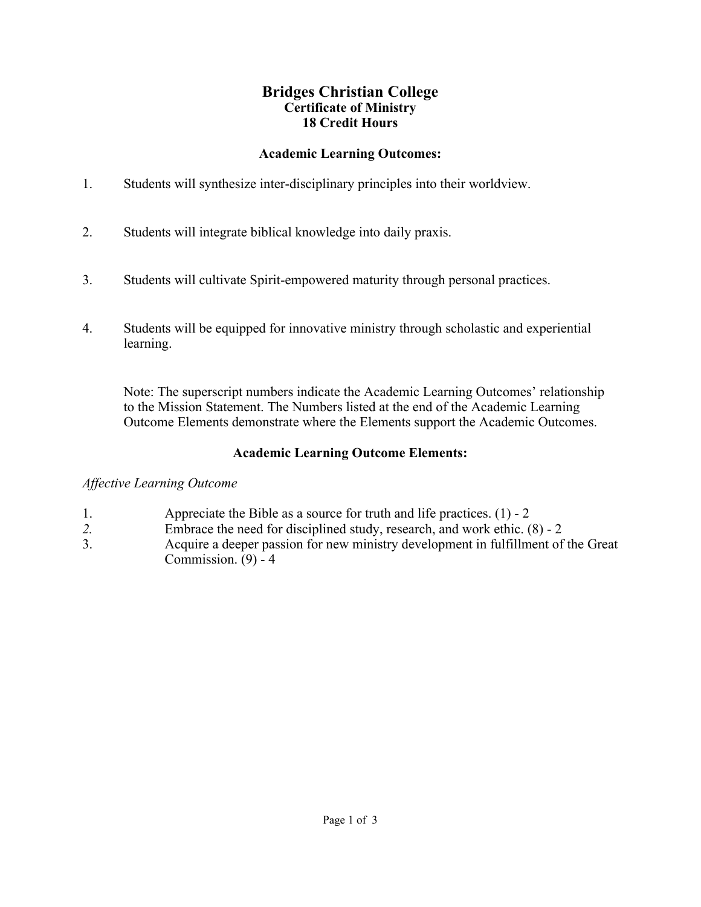# **Bridges Christian College Certificate of Ministry 18 Credit Hours**

## **Academic Learning Outcomes:**

- 1. Students will synthesize inter-disciplinary principles into their worldview.
- 2. Students will integrate biblical knowledge into daily praxis.
- 3. Students will cultivate Spirit-empowered maturity through personal practices.
- 4. Students will be equipped for innovative ministry through scholastic and experiential learning.

Note: The superscript numbers indicate the Academic Learning Outcomes' relationship to the Mission Statement. The Numbers listed at the end of the Academic Learning Outcome Elements demonstrate where the Elements support the Academic Outcomes.

# **Academic Learning Outcome Elements:**

# *Affective Learning Outcome*

- 1. Appreciate the Bible as a source for truth and life practices. (1) 2
- *2.* Embrace the need for disciplined study, research, and work ethic. (8) 2
- 3. Acquire a deeper passion for new ministry development in fulfillment of the Great Commission. (9) - 4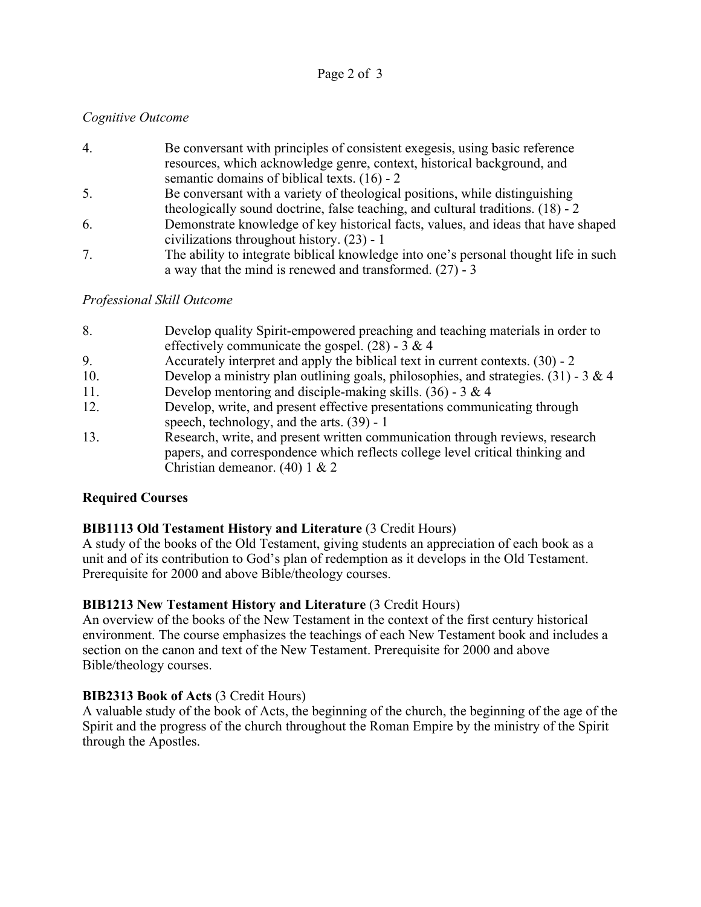#### Page 2 of 3

#### *Cognitive Outcome*

- 4. Be conversant with principles of consistent exegesis, using basic reference resources, which acknowledge genre, context, historical background, and semantic domains of biblical texts. (16) - 2
- 5. Be conversant with a variety of theological positions, while distinguishing theologically sound doctrine, false teaching, and cultural traditions. (18) - 2
- 6. Demonstrate knowledge of key historical facts, values, and ideas that have shaped civilizations throughout history. (23) - 1
- 7. The ability to integrate biblical knowledge into one's personal thought life in such a way that the mind is renewed and transformed. (27) - 3

#### *Professional Skill Outcome*

- 8. Develop quality Spirit-empowered preaching and teaching materials in order to effectively communicate the gospel.  $(28)$  - 3 & 4
- 9. Accurately interpret and apply the biblical text in current contexts. (30) 2
- 10. Develop a ministry plan outlining goals, philosophies, and strategies. (31) 3 & 4 11. Develop mentoring and disciple-making skills. (36) - 3 & 4
- 12. Develop, write, and present effective presentations communicating through speech, technology, and the arts. (39) - 1
- 13. Research, write, and present written communication through reviews, research papers, and correspondence which reflects college level critical thinking and Christian demeanor. (40) 1 & 2

## **Required Courses**

## **BIB1113 Old Testament History and Literature** (3 Credit Hours)

A study of the books of the Old Testament, giving students an appreciation of each book as a unit and of its contribution to God's plan of redemption as it develops in the Old Testament. Prerequisite for 2000 and above Bible/theology courses.

## **BIB1213 New Testament History and Literature** (3 Credit Hours)

An overview of the books of the New Testament in the context of the first century historical environment. The course emphasizes the teachings of each New Testament book and includes a section on the canon and text of the New Testament. Prerequisite for 2000 and above Bible/theology courses.

## **BIB2313 Book of Acts** (3 Credit Hours)

A valuable study of the book of Acts, the beginning of the church, the beginning of the age of the Spirit and the progress of the church throughout the Roman Empire by the ministry of the Spirit through the Apostles.